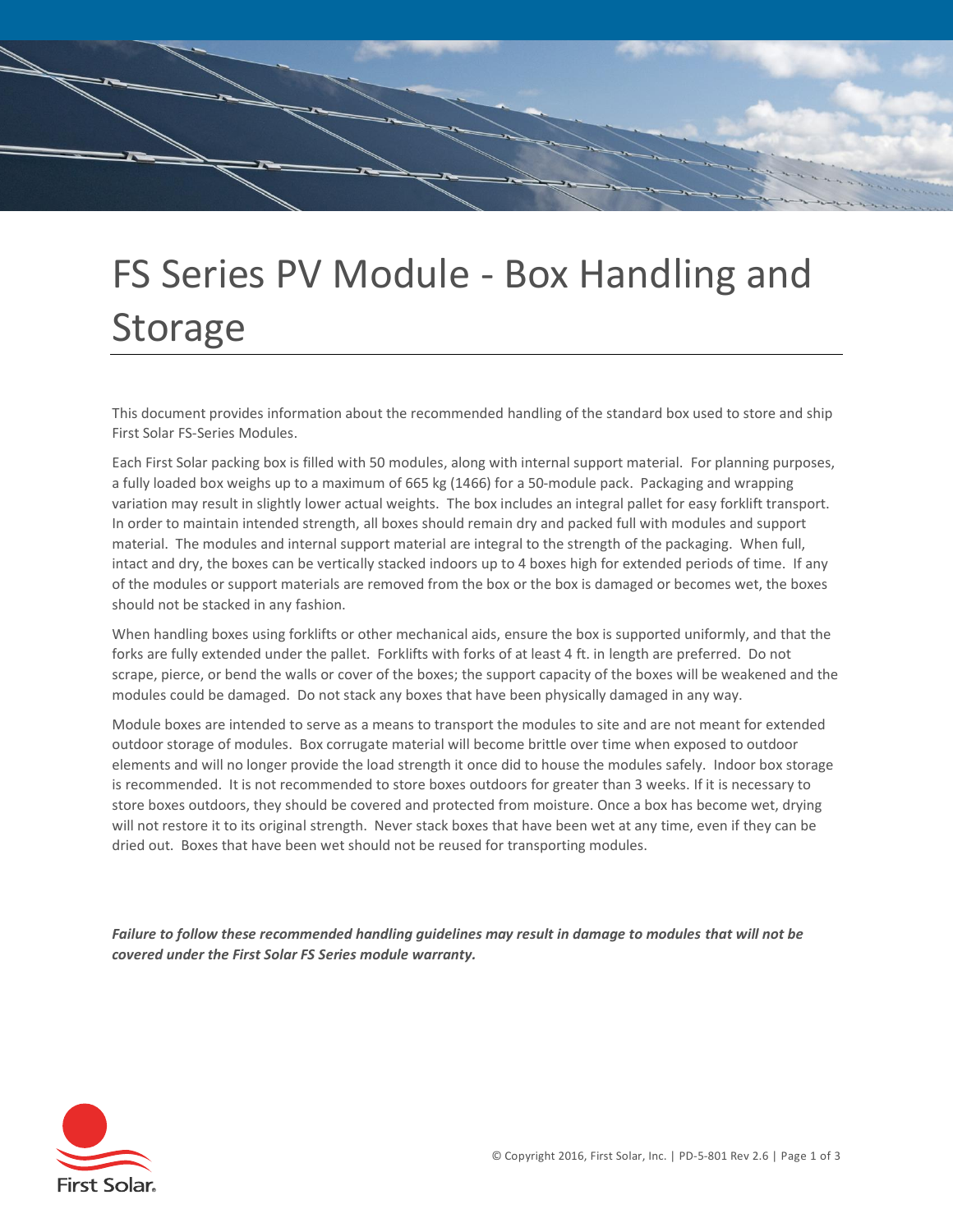

# FS Series PV Module - Box Handling and Storage

This document provides information about the recommended handling of the standard box used to store and ship First Solar FS-Series Modules.

Each First Solar packing box is filled with 50 modules, along with internal support material. For planning purposes, a fully loaded box weighs up to a maximum of 665 kg (1466) for a 50-module pack. Packaging and wrapping variation may result in slightly lower actual weights. The box includes an integral pallet for easy forklift transport. In order to maintain intended strength, all boxes should remain dry and packed full with modules and support material. The modules and internal support material are integral to the strength of the packaging. When full, intact and dry, the boxes can be vertically stacked indoors up to 4 boxes high for extended periods of time. If any of the modules or support materials are removed from the box or the box is damaged or becomes wet, the boxes should not be stacked in any fashion.

When handling boxes using forklifts or other mechanical aids, ensure the box is supported uniformly, and that the forks are fully extended under the pallet. Forklifts with forks of at least 4 ft. in length are preferred. Do not scrape, pierce, or bend the walls or cover of the boxes; the support capacity of the boxes will be weakened and the modules could be damaged. Do not stack any boxes that have been physically damaged in any way.

Module boxes are intended to serve as a means to transport the modules to site and are not meant for extended outdoor storage of modules. Box corrugate material will become brittle over time when exposed to outdoor elements and will no longer provide the load strength it once did to house the modules safely. Indoor box storage is recommended. It is not recommended to store boxes outdoors for greater than 3 weeks. If it is necessary to store boxes outdoors, they should be covered and protected from moisture. Once a box has become wet, drying will not restore it to its original strength. Never stack boxes that have been wet at any time, even if they can be dried out. Boxes that have been wet should not be reused for transporting modules.

*Failure to follow these recommended handling guidelines may result in damage to modules that will not be covered under the First Solar FS Series module warranty.*

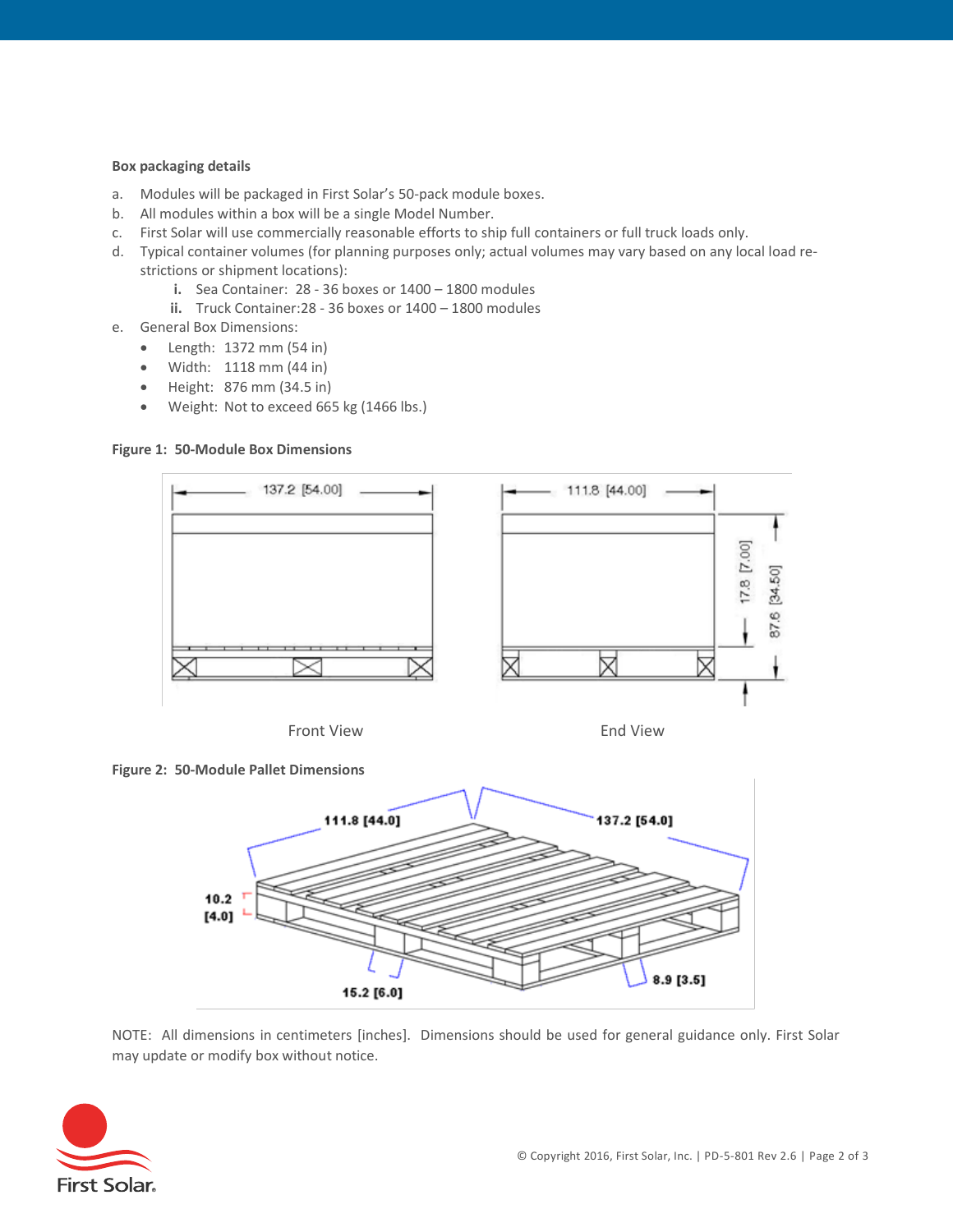#### **Box packaging details**

- a. Modules will be packaged in First Solar's 50-pack module boxes.
- b. All modules within a box will be a single Model Number.
- c. First Solar will use commercially reasonable efforts to ship full containers or full truck loads only.
- d. Typical container volumes (for planning purposes only; actual volumes may vary based on any local load restrictions or shipment locations):
	- **i.** Sea Container: 28 36 boxes or 1400 1800 modules
	- **ii.** Truck Container:28 36 boxes or 1400 1800 modules
- e. General Box Dimensions:
	- Length: 1372 mm (54 in)
	- Width: 1118 mm (44 in)
	- Height: 876 mm (34.5 in)
	- Weight: Not to exceed 665 kg (1466 lbs.)

#### **Figure 1: 50-Module Box Dimensions**



Front View **End View** End View







NOTE: All dimensions in centimeters [inches]. Dimensions should be used for general guidance only. First Solar may update or modify box without notice.